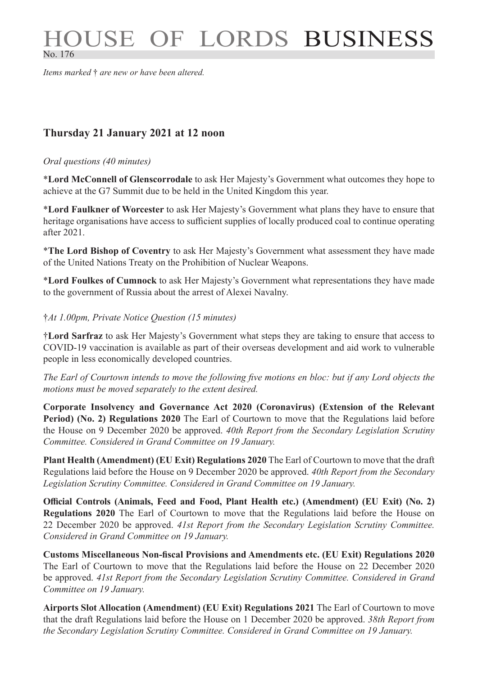# HOUSE OF LORDS BUSINESS No. 176

*Items marked* † *are new or have been altered.*

## **Thursday 21 January 2021 at 12 noon**

#### *Oral questions (40 minutes)*

\***Lord McConnell of Glenscorrodale** to ask Her Majesty's Government what outcomes they hope to achieve at the G7 Summit due to be held in the United Kingdom this year.

\***Lord Faulkner of Worcester** to ask Her Majesty's Government what plans they have to ensure that heritage organisations have access to sufficient supplies of locally produced coal to continue operating after 2021.

\***The Lord Bishop of Coventry** to ask Her Majesty's Government what assessment they have made of the United Nations Treaty on the Prohibition of Nuclear Weapons.

\***Lord Foulkes of Cumnock** to ask Her Majesty's Government what representations they have made to the government of Russia about the arrest of Alexei Navalny.

#### †*At 1.00pm, Private Notice Question (15 minutes)*

†**Lord Sarfraz** to ask Her Majesty's Government what steps they are taking to ensure that access to COVID-19 vaccination is available as part of their overseas development and aid work to vulnerable people in less economically developed countries.

*The Earl of Courtown intends to move the following five motions en bloc: but if any Lord objects the motions must be moved separately to the extent desired.*

**Corporate Insolvency and Governance Act 2020 (Coronavirus) (Extension of the Relevant Period) (No. 2) Regulations 2020** The Earl of Courtown to move that the Regulations laid before the House on 9 December 2020 be approved. *40th Report from the Secondary Legislation Scrutiny Committee. Considered in Grand Committee on 19 January.*

**Plant Health (Amendment) (EU Exit) Regulations 2020** The Earl of Courtown to move that the draft Regulations laid before the House on 9 December 2020 be approved. *40th Report from the Secondary Legislation Scrutiny Committee. Considered in Grand Committee on 19 January.*

**Official Controls (Animals, Feed and Food, Plant Health etc.) (Amendment) (EU Exit) (No. 2) Regulations 2020** The Earl of Courtown to move that the Regulations laid before the House on 22 December 2020 be approved. *41st Report from the Secondary Legislation Scrutiny Committee. Considered in Grand Committee on 19 January.*

**Customs Miscellaneous Non-fiscal Provisions and Amendments etc. (EU Exit) Regulations 2020** The Earl of Courtown to move that the Regulations laid before the House on 22 December 2020 be approved. *41st Report from the Secondary Legislation Scrutiny Committee. Considered in Grand Committee on 19 January.*

**Airports Slot Allocation (Amendment) (EU Exit) Regulations 2021** The Earl of Courtown to move that the draft Regulations laid before the House on 1 December 2020 be approved. *38th Report from the Secondary Legislation Scrutiny Committee. Considered in Grand Committee on 19 January.*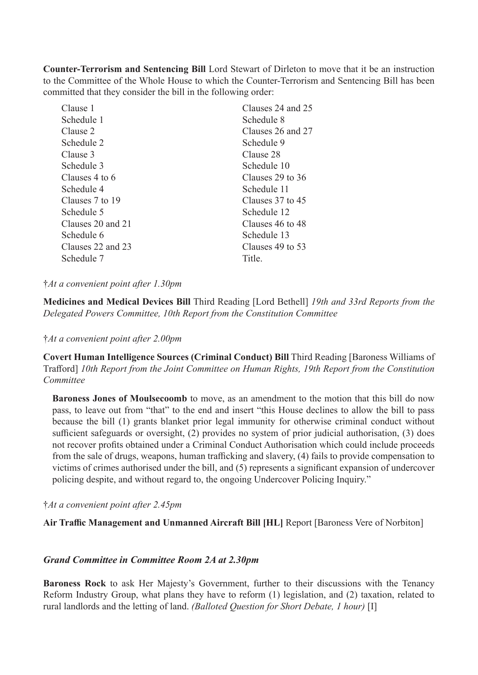**Counter-Terrorism and Sentencing Bill** Lord Stewart of Dirleton to move that it be an instruction to the Committee of the Whole House to which the Counter-Terrorism and Sentencing Bill has been committed that they consider the bill in the following order:

| Clauses 24 and 25 |
|-------------------|
| Schedule 8        |
| Clauses 26 and 27 |
| Schedule 9        |
| Clause 28         |
| Schedule 10       |
| Clauses 29 to 36  |
| Schedule 11       |
| Clauses 37 to 45  |
| Schedule 12       |
| Clauses 46 to 48  |
| Schedule 13       |
| Clauses 49 to 53  |
| Title.            |
|                   |

#### †*At a convenient point after 1.30pm*

**Medicines and Medical Devices Bill** Third Reading [Lord Bethell] *19th and 33rd Reports from the Delegated Powers Committee, 10th Report from the Constitution Committee*

†*At a convenient point after 2.00pm*

**Covert Human Intelligence Sources (Criminal Conduct) Bill** Third Reading [Baroness Williams of Trafford] *10th Report from the Joint Committee on Human Rights, 19th Report from the Constitution Committee*

**Baroness Jones of Moulsecoomb** to move, as an amendment to the motion that this bill do now pass, to leave out from "that" to the end and insert "this House declines to allow the bill to pass because the bill (1) grants blanket prior legal immunity for otherwise criminal conduct without sufficient safeguards or oversight, (2) provides no system of prior judicial authorisation, (3) does not recover profits obtained under a Criminal Conduct Authorisation which could include proceeds from the sale of drugs, weapons, human trafficking and slavery, (4) fails to provide compensation to victims of crimes authorised under the bill, and (5) represents a significant expansion of undercover policing despite, and without regard to, the ongoing Undercover Policing Inquiry."

†*At a convenient point after 2.45pm*

**Air Traffic Management and Unmanned Aircraft Bill [HL]** Report [Baroness Vere of Norbiton]

### *Grand Committee in Committee Room 2A at 2.30pm*

**Baroness Rock** to ask Her Majesty's Government, further to their discussions with the Tenancy Reform Industry Group, what plans they have to reform (1) legislation, and (2) taxation, related to rural landlords and the letting of land. *(Balloted Question for Short Debate, 1 hour)* [I]